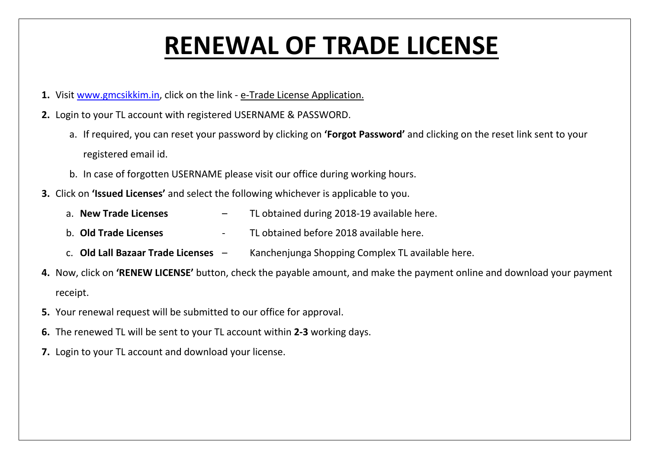## **RENEWAL OF TRADE LICENSE**

- **1.** Visit [www.gmcsikkim.in,](http://www.gmcsikkim.in/) click on the link e-Trade License Application.
- **2.** Login to your TL account with registered USERNAME & PASSWORD.
	- a. If required, you can reset your password by clicking on **'Forgot Password'** and clicking on the reset link sent to your registered email id.
	- b. In case of forgotten USERNAME please visit our office during working hours.
- **3.** Click on **'Issued Licenses'** and select the following whichever is applicable to you.
	- a. **New Trade Licenses** TL obtained during 2018-19 available here.
	- b. **Old Trade Licenses** TL obtained before 2018 available here.
	- c. **Old Lall Bazaar Trade Licenses**  Kanchenjunga Shopping Complex TL available here.
- **4.** Now, click on **'RENEW LICENSE'** button, check the payable amount, and make the payment online and download your payment receipt.
- **5.** Your renewal request will be submitted to our office for approval.
- **6.** The renewed TL will be sent to your TL account within **2-3** working days.
- **7.** Login to your TL account and download your license.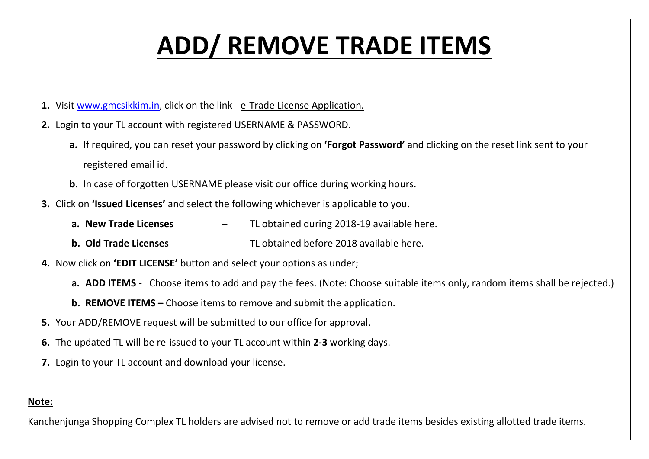# **ADD/ REMOVE TRADE ITEMS**

- **1.** Visit [www.gmcsikkim.in,](http://www.gmcsikkim.in/) click on the link e-Trade License Application.
- **2.** Login to your TL account with registered USERNAME & PASSWORD.
	- **a.** If required, you can reset your password by clicking on **'Forgot Password'** and clicking on the reset link sent to your registered email id.
	- **b.** In case of forgotten USERNAME please visit our office during working hours.
- **3.** Click on **'Issued Licenses'** and select the following whichever is applicable to you.
	- **a. New Trade Licenses** TL obtained during 2018-19 available here.
	- **b. Old Trade Licenses** TL obtained before 2018 available here.
- **4.** Now click on **'EDIT LICENSE'** button and select your options as under;
	- **a. ADD ITEMS** Choose items to add and pay the fees. (Note: Choose suitable items only, random items shall be rejected.)
	- **b. REMOVE ITEMS –** Choose items to remove and submit the application.
- **5.** Your ADD/REMOVE request will be submitted to our office for approval.
- **6.** The updated TL will be re-issued to your TL account within **2-3** working days.
- **7.** Login to your TL account and download your license.

### **Note:**

Kanchenjunga Shopping Complex TL holders are advised not to remove or add trade items besides existing allotted trade items.